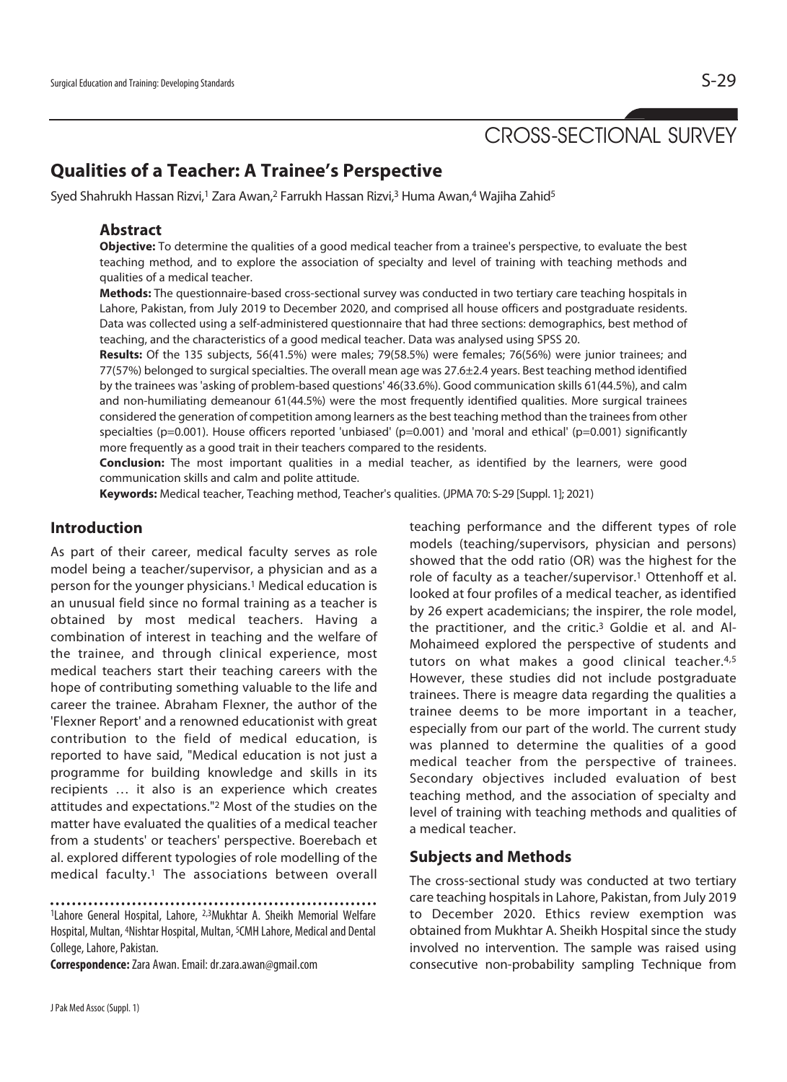# CROSS-SECTIONAL SURVEY

## **Qualities of a Teacher: A Trainee's Perspective**

Syed Shahrukh Hassan Rizvi,<sup>1</sup> Zara Awan,<sup>2</sup> Farrukh Hassan Rizvi,<sup>3</sup> Huma Awan,<sup>4</sup> Wajiha Zahid<sup>5</sup>

#### **Abstract**

**Objective:** To determine the qualities of a good medical teacher from a trainee's perspective, to evaluate the best teaching method, and to explore the association of specialty and level of training with teaching methods and qualities of a medical teacher.

**Methods:** The questionnaire-based cross-sectional survey was conducted in two tertiary care teaching hospitals in Lahore, Pakistan, from July 2019 to December 2020, and comprised all house officers and postgraduate residents. Data was collected using a self-administered questionnaire that had three sections: demographics, best method of teaching, and the characteristics of a good medical teacher. Data was analysed using SPSS 20.

**Results:** Of the 135 subjects, 56(41.5%) were males; 79(58.5%) were females; 76(56%) were junior trainees; and 77(57%) belonged to surgical specialties. The overall mean age was 27.6±2.4 years. Best teaching method identified by the trainees was 'asking of problem-based questions' 46(33.6%). Good communication skills 61(44.5%), and calm and non-humiliating demeanour 61(44.5%) were the most frequently identified qualities. More surgical trainees considered the generation of competition among learners as the best teaching method than the trainees from other specialties (p=0.001). House officers reported 'unbiased' (p=0.001) and 'moral and ethical' (p=0.001) significantly more frequently as a good trait in their teachers compared to the residents.

**Conclusion:** The most important qualities in a medial teacher, as identified by the learners, were good communication skills and calm and polite attitude.

**Keywords:** Medical teacher, Teaching method, Teacher's qualities. (JPMA 70: S-29 [Suppl. 1]; 2021)

## **Introduction**

As part of their career, medical faculty serves as role model being a teacher/supervisor, a physician and as a person for the younger physicians.1 Medical education is an unusual field since no formal training as a teacher is obtained by most medical teachers. Having a combination of interest in teaching and the welfare of the trainee, and through clinical experience, most medical teachers start their teaching careers with the hope of contributing something valuable to the life and career the trainee. Abraham Flexner, the author of the 'Flexner Report' and a renowned educationist with great contribution to the field of medical education, is reported to have said, "Medical education is not just a programme for building knowledge and skills in its recipients … it also is an experience which creates attitudes and expectations."2 Most of the studies on the matter have evaluated the qualities of a medical teacher from a students' or teachers' perspective. Boerebach et al. explored different typologies of role modelling of the medical faculty.1 The associations between overall

**Correspondence:** Zara Awan. Email: dr.zara.awan@gmail.com

teaching performance and the different types of role models (teaching/supervisors, physician and persons) showed that the odd ratio (OR) was the highest for the role of faculty as a teacher/supervisor.1 Ottenhoff et al. looked at four profiles of a medical teacher, as identified by 26 expert academicians; the inspirer, the role model, the practitioner, and the critic.3 Goldie et al. and Al-Mohaimeed explored the perspective of students and tutors on what makes a good clinical teacher.<sup>4,5</sup> However, these studies did not include postgraduate trainees. There is meagre data regarding the qualities a trainee deems to be more important in a teacher, especially from our part of the world. The current study was planned to determine the qualities of a good medical teacher from the perspective of trainees. Secondary objectives included evaluation of best teaching method, and the association of specialty and level of training with teaching methods and qualities of a medical teacher.

## **Subjects and Methods**

The cross-sectional study was conducted at two tertiary care teaching hospitals in Lahore, Pakistan, from July 2019 to December 2020. Ethics review exemption was obtained from Mukhtar A. Sheikh Hospital since the study involved no intervention. The sample was raised using consecutive non-probability sampling Technique from

<sup>1</sup>Lahore General Hospital, Lahore, 2,3Mukhtar A. Sheikh Memorial Welfare Hospital, Multan, 4Nishtar Hospital, Multan, 5CMH Lahore, Medical and Dental College, Lahore, Pakistan.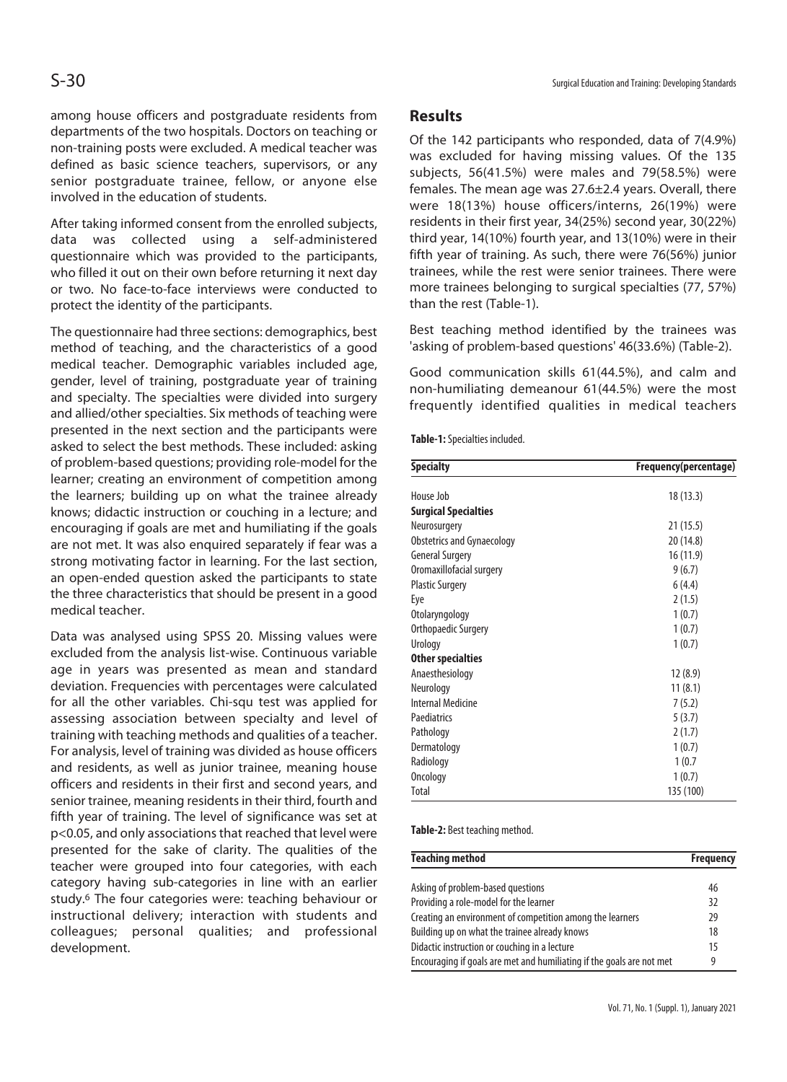among house officers and postgraduate residents from departments of the two hospitals. Doctors on teaching or non-training posts were excluded. A medical teacher was defined as basic science teachers, supervisors, or any senior postgraduate trainee, fellow, or anyone else involved in the education of students.

After taking informed consent from the enrolled subjects, data was collected using a self-administered questionnaire which was provided to the participants, who filled it out on their own before returning it next day or two. No face-to-face interviews were conducted to protect the identity of the participants.

The questionnaire had three sections: demographics, best method of teaching, and the characteristics of a good medical teacher. Demographic variables included age, gender, level of training, postgraduate year of training and specialty. The specialties were divided into surgery and allied/other specialties. Six methods of teaching were presented in the next section and the participants were asked to select the best methods. These included: asking of problem-based questions; providing role-model for the learner; creating an environment of competition among the learners; building up on what the trainee already knows; didactic instruction or couching in a lecture; and encouraging if goals are met and humiliating if the goals are not met. It was also enquired separately if fear was a strong motivating factor in learning. For the last section, an open-ended question asked the participants to state the three characteristics that should be present in a good medical teacher.

Data was analysed using SPSS 20. Missing values were excluded from the analysis list-wise. Continuous variable age in years was presented as mean and standard deviation. Frequencies with percentages were calculated for all the other variables. Chi-squ test was applied for assessing association between specialty and level of training with teaching methods and qualities of a teacher. For analysis, level of training was divided as house officers and residents, as well as junior trainee, meaning house officers and residents in their first and second years, and senior trainee, meaning residents in their third, fourth and fifth year of training. The level of significance was set at p<0.05, and only associations that reached that level were presented for the sake of clarity. The qualities of the teacher were grouped into four categories, with each category having sub-categories in line with an earlier study.6 The four categories were: teaching behaviour or instructional delivery; interaction with students and colleagues; personal qualities; and professional development.

#### **Results**

Of the 142 participants who responded, data of 7(4.9%) was excluded for having missing values. Of the 135 subjects, 56(41.5%) were males and 79(58.5%) were females. The mean age was 27.6±2.4 years. Overall, there were 18(13%) house officers/interns, 26(19%) were residents in their first year, 34(25%) second year, 30(22%) third year, 14(10%) fourth year, and 13(10%) were in their fifth year of training. As such, there were 76(56%) junior trainees, while the rest were senior trainees. There were more trainees belonging to surgical specialties (77, 57%) than the rest (Table-1).

Best teaching method identified by the trainees was 'asking of problem-based questions' 46(33.6%) (Table-2).

Good communication skills 61(44.5%), and calm and non-humiliating demeanour 61(44.5%) were the most frequently identified qualities in medical teachers

|  | Table-1: Specialties included. |  |
|--|--------------------------------|--|
|--|--------------------------------|--|

| <b>Specialty</b>            | Frequency(percentage) |
|-----------------------------|-----------------------|
|                             |                       |
| House Job                   | 18 (13.3)             |
| <b>Surgical Specialties</b> |                       |
| Neurosurgery                | 21(15.5)              |
| Obstetrics and Gynaecology  | 20 (14.8)             |
| <b>General Surgery</b>      | 16 (11.9)             |
| Oromaxillofacial surgery    | 9(6.7)                |
| <b>Plastic Surgery</b>      | 6(4.4)                |
| Eye                         | 2(1.5)                |
| Otolaryngology              | 1(0.7)                |
| Orthopaedic Surgery         | 1(0.7)                |
| Urology                     | 1(0.7)                |
| <b>Other specialties</b>    |                       |
| Anaesthesiology             | 12(8.9)               |
| Neurology                   | 11(8.1)               |
| <b>Internal Medicine</b>    | 7(5.2)                |
| Paediatrics                 | 5(3.7)                |
| Pathology                   | 2(1.7)                |
| Dermatology                 | 1(0.7)                |
| Radiology                   | 1(0.7)                |
| Oncology                    | 1(0.7)                |
| Total                       | 135 (100)             |

**Table-2:** Best teaching method.

| <b>Teaching method</b>                                                | <b>Frequency</b> |
|-----------------------------------------------------------------------|------------------|
| Asking of problem-based questions                                     | 46               |
| Providing a role-model for the learner                                | 32               |
| Creating an environment of competition among the learners             | 29               |
| Building up on what the trainee already knows                         | 18               |
| Didactic instruction or couching in a lecture                         | 15               |
| Encouraging if goals are met and humiliating if the goals are not met | g                |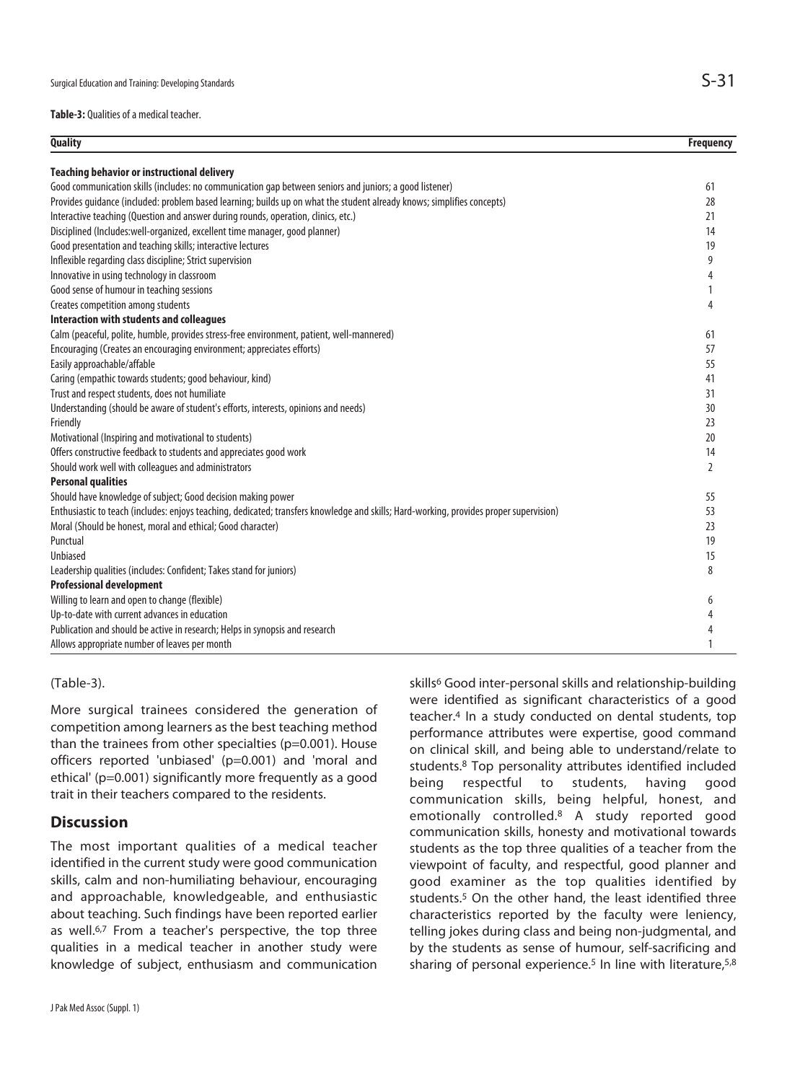**Table-3:** Qualities of a medical teacher.

| <b>Quality</b>                                                                                                                          | <b>Frequency</b> |
|-----------------------------------------------------------------------------------------------------------------------------------------|------------------|
| <b>Teaching behavior or instructional delivery</b>                                                                                      |                  |
| Good communication skills (includes: no communication gap between seniors and juniors; a good listener)                                 | 61               |
| Provides guidance (included: problem based learning; builds up on what the student already knows; simplifies concepts)                  | 28               |
| Interactive teaching (Question and answer during rounds, operation, clinics, etc.)                                                      | 21               |
| Disciplined (Includes:well-organized, excellent time manager, good planner)                                                             | 14               |
| Good presentation and teaching skills; interactive lectures                                                                             | 19               |
| Inflexible regarding class discipline; Strict supervision                                                                               | 9                |
| Innovative in using technology in classroom                                                                                             | 4                |
| Good sense of humour in teaching sessions                                                                                               | 1                |
| Creates competition among students                                                                                                      | 4                |
| <b>Interaction with students and colleagues</b>                                                                                         |                  |
| Calm (peaceful, polite, humble, provides stress-free environment, patient, well-mannered)                                               | 61               |
| Encouraging (Creates an encouraging environment; appreciates efforts)                                                                   | 57               |
| Easily approachable/affable                                                                                                             | 55               |
| Caring (empathic towards students; good behaviour, kind)                                                                                | 41               |
| Trust and respect students, does not humiliate                                                                                          | 31               |
| Understanding (should be aware of student's efforts, interests, opinions and needs)                                                     | 30               |
| Friendly                                                                                                                                | 23               |
| Motivational (Inspiring and motivational to students)                                                                                   | 20               |
| Offers constructive feedback to students and appreciates good work                                                                      | 14               |
| Should work well with colleagues and administrators                                                                                     | $\overline{2}$   |
| <b>Personal qualities</b>                                                                                                               |                  |
| Should have knowledge of subject; Good decision making power                                                                            | 55               |
| Enthusiastic to teach (includes: enjoys teaching, dedicated; transfers knowledge and skills; Hard-working, provides proper supervision) | 53               |
| Moral (Should be honest, moral and ethical; Good character)                                                                             | 23               |
| Punctual                                                                                                                                | 19               |
| <b>Unbiased</b>                                                                                                                         | 15               |
| Leadership qualities (includes: Confident; Takes stand for juniors)                                                                     | 8                |
| <b>Professional development</b>                                                                                                         |                  |
| Willing to learn and open to change (flexible)                                                                                          | 6                |
| Up-to-date with current advances in education                                                                                           | 4                |
| Publication and should be active in research; Helps in synopsis and research                                                            | 4                |
| Allows appropriate number of leaves per month                                                                                           | 1                |

#### (Table-3).

More surgical trainees considered the generation of competition among learners as the best teaching method than the trainees from other specialties (p=0.001). House officers reported 'unbiased' (p=0.001) and 'moral and ethical' (p=0.001) significantly more frequently as a good trait in their teachers compared to the residents.

## **Discussion**

The most important qualities of a medical teacher identified in the current study were good communication skills, calm and non-humiliating behaviour, encouraging and approachable, knowledgeable, and enthusiastic about teaching. Such findings have been reported earlier as well.<sup>6,7</sup> From a teacher's perspective, the top three qualities in a medical teacher in another study were knowledge of subject, enthusiasm and communication

J Pak Med Assoc (Suppl. 1)

skills<sup>6</sup> Good inter-personal skills and relationship-building were identified as significant characteristics of a good teacher.4 In a study conducted on dental students, top performance attributes were expertise, good command on clinical skill, and being able to understand/relate to students.8 Top personality attributes identified included being respectful to students, having good communication skills, being helpful, honest, and emotionally controlled.8 A study reported good communication skills, honesty and motivational towards students as the top three qualities of a teacher from the viewpoint of faculty, and respectful, good planner and good examiner as the top qualities identified by students.5 On the other hand, the least identified three characteristics reported by the faculty were leniency, telling jokes during class and being non-judgmental, and by the students as sense of humour, self-sacrificing and sharing of personal experience.<sup>5</sup> In line with literature,<sup>5,8</sup>